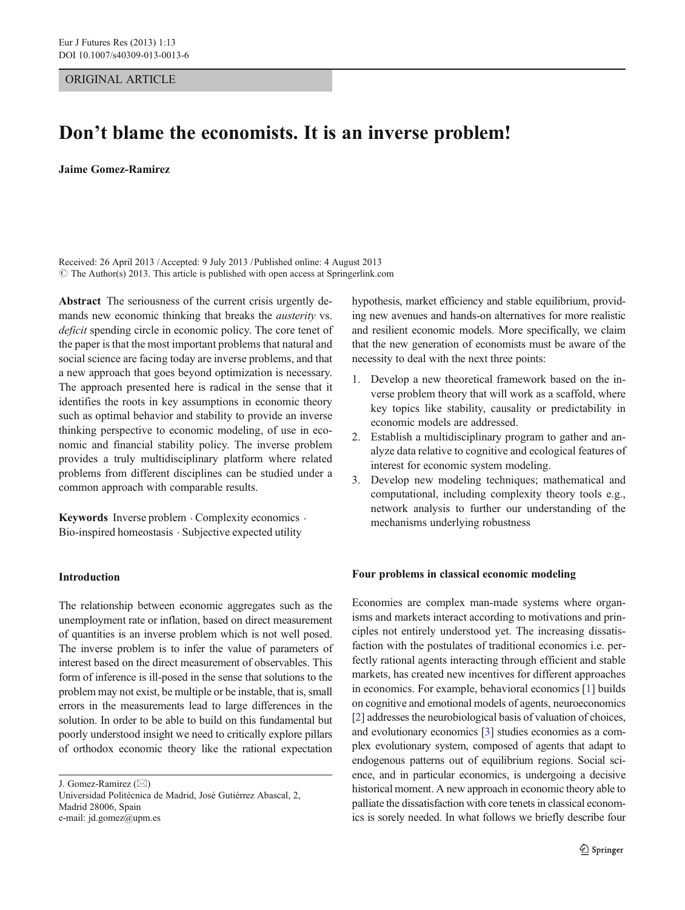# ORIGINAL ARTICLE

# Don't blame the economists. It is an inverse problem!

Jaime Gomez-Ramirez

Received: 26 April 2013 /Accepted: 9 July 2013 / Published online: 4 August 2013 © The Author(s) 2013. This article is published with open access at Springerlink.com

Abstract The seriousness of the current crisis urgently demands new economic thinking that breaks the austerity vs. deficit spending circle in economic policy. The core tenet of the paper is that the most important problems that natural and social science are facing today are inverse problems, and that a new approach that goes beyond optimization is necessary. The approach presented here is radical in the sense that it identifies the roots in key assumptions in economic theory such as optimal behavior and stability to provide an inverse thinking perspective to economic modeling, of use in economic and financial stability policy. The inverse problem provides a truly multidisciplinary platform where related problems from different disciplines can be studied under a common approach with comparable results.

Keywords Inverse problem . Complexity economics . Bio-inspired homeostasis . Subjective expected utility

# Introduction

The relationship between economic aggregates such as the unemployment rate or inflation, based on direct measurement of quantities is an inverse problem which is not well posed. The inverse problem is to infer the value of parameters of interest based on the direct measurement of observables. This form of inference is ill-posed in the sense that solutions to the problem may not exist, be multiple or be instable, that is, small errors in the measurements lead to large differences in the solution. In order to be able to build on this fundamental but poorly understood insight we need to critically explore pillars of orthodox economic theory like the rational expectation

J. Gomez-Ramirez ( $\boxtimes$ )

Universidad Politécnica de Madrid, José Gutiérrez Abascal, 2, Madrid 28006, Spain e-mail: jd.gomez@upm.es

hypothesis, market efficiency and stable equilibrium, providing new avenues and hands-on alternatives for more realistic and resilient economic models. More specifically, we claim that the new generation of economists must be aware of the necessity to deal with the next three points:

- 1. Develop a new theoretical framework based on the inverse problem theory that will work as a scaffold, where key topics like stability, causality or predictability in economic models are addressed.
- 2. Establish a multidisciplinary program to gather and analyze data relative to cognitive and ecological features of interest for economic system modeling.
- 3. Develop new modeling techniques; mathematical and computational, including complexity theory tools e.g., network analysis to further our understanding of the mechanisms underlying robustness

#### Four problems in classical economic modeling

Economies are complex man-made systems where organisms and markets interact according to motivations and principles not entirely understood yet. The increasing dissatisfaction with the postulates of traditional economics i.e. perfectly rational agents interacting through efficient and stable markets, has created new incentives for different approaches in economics. For example, behavioral economics [\[1](#page-5-0)] builds on cognitive and emotional models of agents, neuroeconomics [\[2](#page-5-0)] addresses the neurobiological basis of valuation of choices, and evolutionary economics [[3\]](#page-5-0) studies economies as a complex evolutionary system, composed of agents that adapt to endogenous patterns out of equilibrium regions. Social science, and in particular economics, is undergoing a decisive historical moment. A new approach in economic theory able to palliate the dissatisfaction with core tenets in classical economics is sorely needed. In what follows we briefly describe four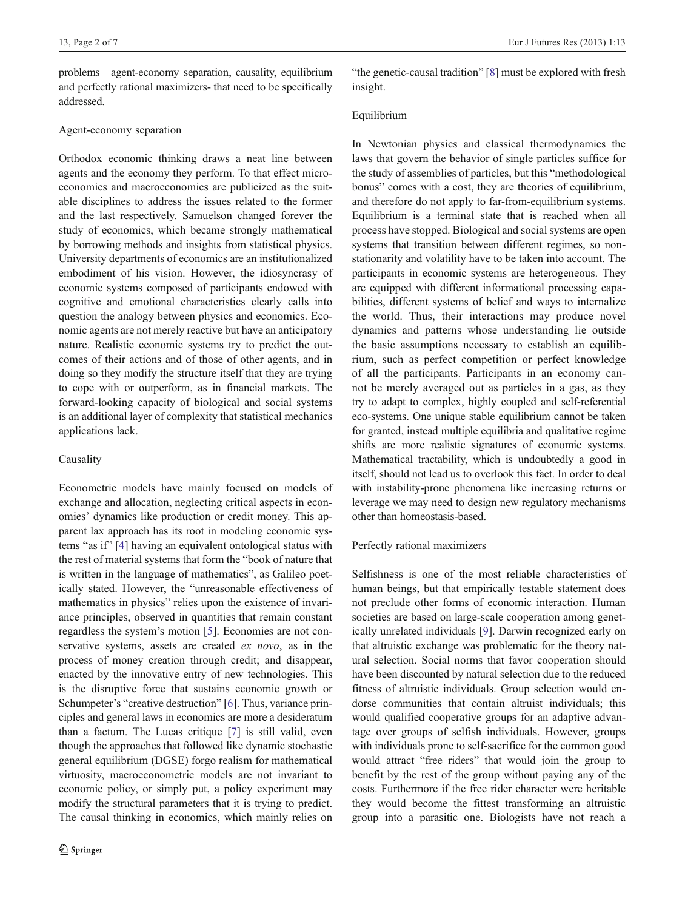problems—agent-economy separation, causality, equilibrium and perfectly rational maximizers- that need to be specifically addressed.

## Agent-economy separation

Orthodox economic thinking draws a neat line between agents and the economy they perform. To that effect microeconomics and macroeconomics are publicized as the suitable disciplines to address the issues related to the former and the last respectively. Samuelson changed forever the study of economics, which became strongly mathematical by borrowing methods and insights from statistical physics. University departments of economics are an institutionalized embodiment of his vision. However, the idiosyncrasy of economic systems composed of participants endowed with cognitive and emotional characteristics clearly calls into question the analogy between physics and economics. Economic agents are not merely reactive but have an anticipatory nature. Realistic economic systems try to predict the outcomes of their actions and of those of other agents, and in doing so they modify the structure itself that they are trying to cope with or outperform, as in financial markets. The forward-looking capacity of biological and social systems is an additional layer of complexity that statistical mechanics applications lack.

## Causality

Econometric models have mainly focused on models of exchange and allocation, neglecting critical aspects in economies' dynamics like production or credit money. This apparent lax approach has its root in modeling economic systems "as if" [\[4](#page-5-0)] having an equivalent ontological status with the rest of material systems that form the "book of nature that is written in the language of mathematics", as Galileo poetically stated. However, the "unreasonable effectiveness of mathematics in physics" relies upon the existence of invariance principles, observed in quantities that remain constant regardless the system's motion [\[5](#page-5-0)]. Economies are not conservative systems, assets are created ex novo, as in the process of money creation through credit; and disappear, enacted by the innovative entry of new technologies. This is the disruptive force that sustains economic growth or Schumpeter's "creative destruction" [[6\]](#page-5-0). Thus, variance principles and general laws in economics are more a desideratum than a factum. The Lucas critique [\[7](#page-5-0)] is still valid, even though the approaches that followed like dynamic stochastic general equilibrium (DGSE) forgo realism for mathematical virtuosity, macroeconometric models are not invariant to economic policy, or simply put, a policy experiment may modify the structural parameters that it is trying to predict. The causal thinking in economics, which mainly relies on

"the genetic-causal tradition" [[8\]](#page-5-0) must be explored with fresh insight.

### Equilibrium

In Newtonian physics and classical thermodynamics the laws that govern the behavior of single particles suffice for the study of assemblies of particles, but this "methodological bonus" comes with a cost, they are theories of equilibrium, and therefore do not apply to far-from-equilibrium systems. Equilibrium is a terminal state that is reached when all process have stopped. Biological and social systems are open systems that transition between different regimes, so nonstationarity and volatility have to be taken into account. The participants in economic systems are heterogeneous. They are equipped with different informational processing capabilities, different systems of belief and ways to internalize the world. Thus, their interactions may produce novel dynamics and patterns whose understanding lie outside the basic assumptions necessary to establish an equilibrium, such as perfect competition or perfect knowledge of all the participants. Participants in an economy cannot be merely averaged out as particles in a gas, as they try to adapt to complex, highly coupled and self-referential eco-systems. One unique stable equilibrium cannot be taken for granted, instead multiple equilibria and qualitative regime shifts are more realistic signatures of economic systems. Mathematical tractability, which is undoubtedly a good in itself, should not lead us to overlook this fact. In order to deal with instability-prone phenomena like increasing returns or leverage we may need to design new regulatory mechanisms other than homeostasis-based.

## Perfectly rational maximizers

Selfishness is one of the most reliable characteristics of human beings, but that empirically testable statement does not preclude other forms of economic interaction. Human societies are based on large-scale cooperation among genetically unrelated individuals [\[9](#page-5-0)]. Darwin recognized early on that altruistic exchange was problematic for the theory natural selection. Social norms that favor cooperation should have been discounted by natural selection due to the reduced fitness of altruistic individuals. Group selection would endorse communities that contain altruist individuals; this would qualified cooperative groups for an adaptive advantage over groups of selfish individuals. However, groups with individuals prone to self-sacrifice for the common good would attract "free riders" that would join the group to benefit by the rest of the group without paying any of the costs. Furthermore if the free rider character were heritable they would become the fittest transforming an altruistic group into a parasitic one. Biologists have not reach a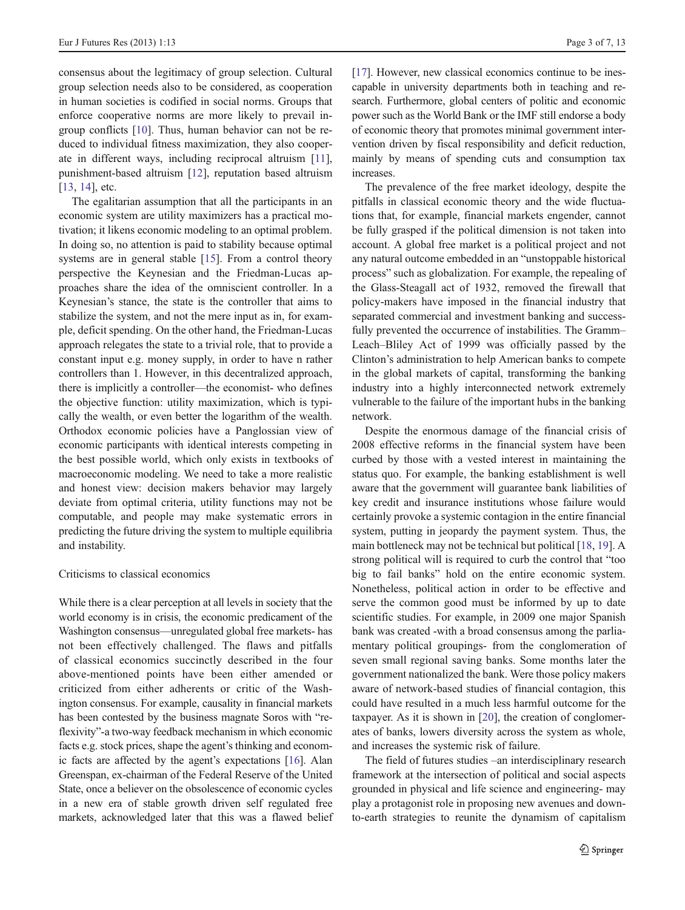consensus about the legitimacy of group selection. Cultural group selection needs also to be considered, as cooperation in human societies is codified in social norms. Groups that enforce cooperative norms are more likely to prevail ingroup conflicts [\[10](#page-5-0)]. Thus, human behavior can not be reduced to individual fitness maximization, they also cooperate in different ways, including reciprocal altruism [[11](#page-5-0)], punishment-based altruism [[12\]](#page-5-0), reputation based altruism [\[13](#page-5-0), [14](#page-5-0)], etc.

The egalitarian assumption that all the participants in an economic system are utility maximizers has a practical motivation; it likens economic modeling to an optimal problem. In doing so, no attention is paid to stability because optimal systems are in general stable [[15\]](#page-5-0). From a control theory perspective the Keynesian and the Friedman-Lucas approaches share the idea of the omniscient controller. In a Keynesian's stance, the state is the controller that aims to stabilize the system, and not the mere input as in, for example, deficit spending. On the other hand, the Friedman-Lucas approach relegates the state to a trivial role, that to provide a constant input e.g. money supply, in order to have n rather controllers than 1. However, in this decentralized approach, there is implicitly a controller—the economist- who defines the objective function: utility maximization, which is typically the wealth, or even better the logarithm of the wealth. Orthodox economic policies have a Panglossian view of economic participants with identical interests competing in the best possible world, which only exists in textbooks of macroeconomic modeling. We need to take a more realistic and honest view: decision makers behavior may largely deviate from optimal criteria, utility functions may not be computable, and people may make systematic errors in predicting the future driving the system to multiple equilibria and instability.

## Criticisms to classical economics

While there is a clear perception at all levels in society that the world economy is in crisis, the economic predicament of the Washington consensus—unregulated global free markets- has not been effectively challenged. The flaws and pitfalls of classical economics succinctly described in the four above-mentioned points have been either amended or criticized from either adherents or critic of the Washington consensus. For example, causality in financial markets has been contested by the business magnate Soros with "reflexivity"-a two-way feedback mechanism in which economic facts e.g. stock prices, shape the agent's thinking and economic facts are affected by the agent's expectations [[16\]](#page-5-0). Alan Greenspan, ex-chairman of the Federal Reserve of the United State, once a believer on the obsolescence of economic cycles in a new era of stable growth driven self regulated free markets, acknowledged later that this was a flawed belief

[\[17](#page-5-0)]. However, new classical economics continue to be inescapable in university departments both in teaching and research. Furthermore, global centers of politic and economic power such as the World Bank or the IMF still endorse a body of economic theory that promotes minimal government intervention driven by fiscal responsibility and deficit reduction, mainly by means of spending cuts and consumption tax increases.

The prevalence of the free market ideology, despite the pitfalls in classical economic theory and the wide fluctuations that, for example, financial markets engender, cannot be fully grasped if the political dimension is not taken into account. A global free market is a political project and not any natural outcome embedded in an "unstoppable historical process" such as globalization. For example, the repealing of the Glass-Steagall act of 1932, removed the firewall that policy-makers have imposed in the financial industry that separated commercial and investment banking and successfully prevented the occurrence of instabilities. The Gramm– Leach–Bliley Act of 1999 was officially passed by the Clinton's administration to help American banks to compete in the global markets of capital, transforming the banking industry into a highly interconnected network extremely vulnerable to the failure of the important hubs in the banking network.

Despite the enormous damage of the financial crisis of 2008 effective reforms in the financial system have been curbed by those with a vested interest in maintaining the status quo. For example, the banking establishment is well aware that the government will guarantee bank liabilities of key credit and insurance institutions whose failure would certainly provoke a systemic contagion in the entire financial system, putting in jeopardy the payment system. Thus, the main bottleneck may not be technical but political [\[18](#page-5-0), [19](#page-6-0)]. A strong political will is required to curb the control that "too big to fail banks" hold on the entire economic system. Nonetheless, political action in order to be effective and serve the common good must be informed by up to date scientific studies. For example, in 2009 one major Spanish bank was created -with a broad consensus among the parliamentary political groupings- from the conglomeration of seven small regional saving banks. Some months later the government nationalized the bank. Were those policy makers aware of network-based studies of financial contagion, this could have resulted in a much less harmful outcome for the taxpayer. As it is shown in [\[20](#page-6-0)], the creation of conglomerates of banks, lowers diversity across the system as whole, and increases the systemic risk of failure.

The field of futures studies –an interdisciplinary research framework at the intersection of political and social aspects grounded in physical and life science and engineering- may play a protagonist role in proposing new avenues and downto-earth strategies to reunite the dynamism of capitalism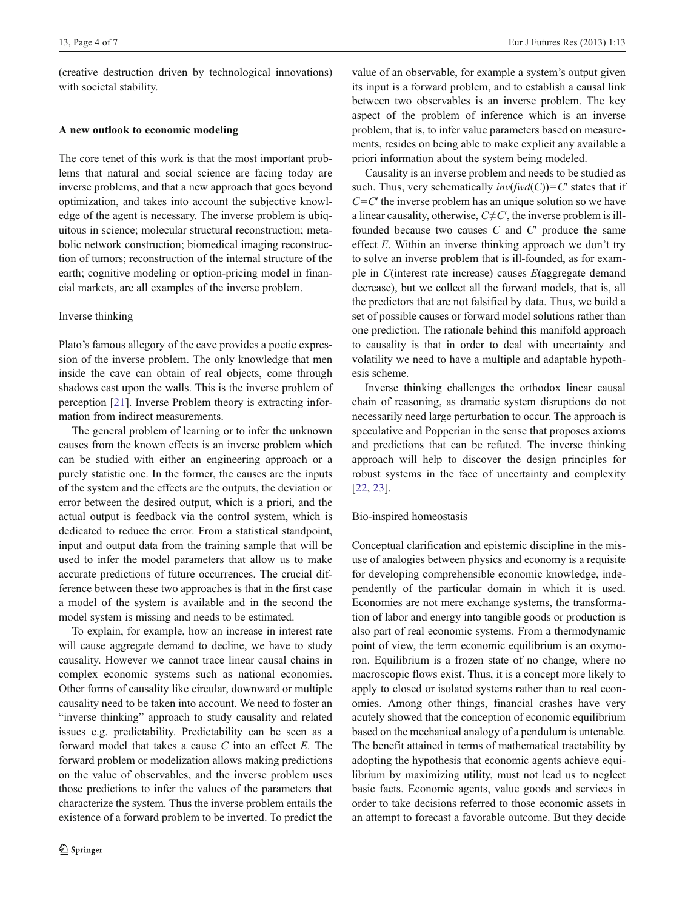(creative destruction driven by technological innovations) with societal stability.

## A new outlook to economic modeling

The core tenet of this work is that the most important problems that natural and social science are facing today are inverse problems, and that a new approach that goes beyond optimization, and takes into account the subjective knowledge of the agent is necessary. The inverse problem is ubiquitous in science; molecular structural reconstruction; metabolic network construction; biomedical imaging reconstruction of tumors; reconstruction of the internal structure of the earth; cognitive modeling or option-pricing model in financial markets, are all examples of the inverse problem.

#### Inverse thinking

Plato's famous allegory of the cave provides a poetic expression of the inverse problem. The only knowledge that men inside the cave can obtain of real objects, come through shadows cast upon the walls. This is the inverse problem of perception [\[21](#page-6-0)]. Inverse Problem theory is extracting information from indirect measurements.

The general problem of learning or to infer the unknown causes from the known effects is an inverse problem which can be studied with either an engineering approach or a purely statistic one. In the former, the causes are the inputs of the system and the effects are the outputs, the deviation or error between the desired output, which is a priori, and the actual output is feedback via the control system, which is dedicated to reduce the error. From a statistical standpoint, input and output data from the training sample that will be used to infer the model parameters that allow us to make accurate predictions of future occurrences. The crucial difference between these two approaches is that in the first case a model of the system is available and in the second the model system is missing and needs to be estimated.

To explain, for example, how an increase in interest rate will cause aggregate demand to decline, we have to study causality. However we cannot trace linear causal chains in complex economic systems such as national economies. Other forms of causality like circular, downward or multiple causality need to be taken into account. We need to foster an "inverse thinking" approach to study causality and related issues e.g. predictability. Predictability can be seen as a forward model that takes a cause C into an effect E. The forward problem or modelization allows making predictions on the value of observables, and the inverse problem uses those predictions to infer the values of the parameters that characterize the system. Thus the inverse problem entails the existence of a forward problem to be inverted. To predict the

value of an observable, for example a system's output given its input is a forward problem, and to establish a causal link between two observables is an inverse problem. The key aspect of the problem of inference which is an inverse problem, that is, to infer value parameters based on measurements, resides on being able to make explicit any available a priori information about the system being modeled.

Causality is an inverse problem and needs to be studied as such. Thus, very schematically  $inv(fwd(C)) = C'$  states that if  $C=C'$  the inverse problem has an unique solution so we have a linear causality, otherwise,  $C \neq C'$ , the inverse problem is illfounded because two causes  $C$  and  $C'$  produce the same effect E. Within an inverse thinking approach we don't try to solve an inverse problem that is ill-founded, as for example in C(interest rate increase) causes E(aggregate demand decrease), but we collect all the forward models, that is, all the predictors that are not falsified by data. Thus, we build a set of possible causes or forward model solutions rather than one prediction. The rationale behind this manifold approach to causality is that in order to deal with uncertainty and volatility we need to have a multiple and adaptable hypothesis scheme.

Inverse thinking challenges the orthodox linear causal chain of reasoning, as dramatic system disruptions do not necessarily need large perturbation to occur. The approach is speculative and Popperian in the sense that proposes axioms and predictions that can be refuted. The inverse thinking approach will help to discover the design principles for robust systems in the face of uncertainty and complexity [\[22](#page-6-0), [23](#page-6-0)].

#### Bio-inspired homeostasis

Conceptual clarification and epistemic discipline in the misuse of analogies between physics and economy is a requisite for developing comprehensible economic knowledge, independently of the particular domain in which it is used. Economies are not mere exchange systems, the transformation of labor and energy into tangible goods or production is also part of real economic systems. From a thermodynamic point of view, the term economic equilibrium is an oxymoron. Equilibrium is a frozen state of no change, where no macroscopic flows exist. Thus, it is a concept more likely to apply to closed or isolated systems rather than to real economies. Among other things, financial crashes have very acutely showed that the conception of economic equilibrium based on the mechanical analogy of a pendulum is untenable. The benefit attained in terms of mathematical tractability by adopting the hypothesis that economic agents achieve equilibrium by maximizing utility, must not lead us to neglect basic facts. Economic agents, value goods and services in order to take decisions referred to those economic assets in an attempt to forecast a favorable outcome. But they decide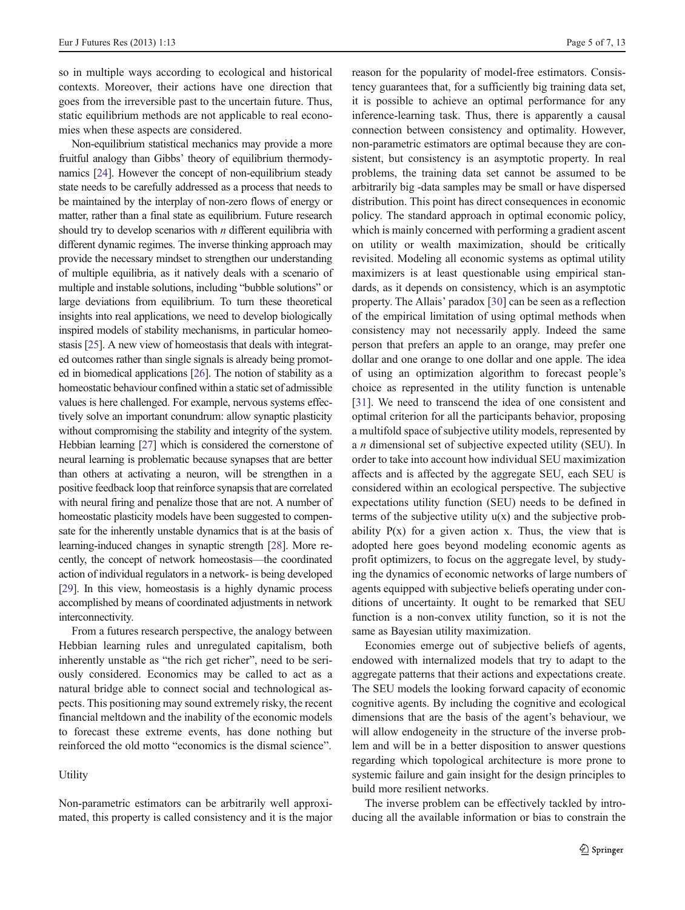so in multiple ways according to ecological and historical contexts. Moreover, their actions have one direction that goes from the irreversible past to the uncertain future. Thus, static equilibrium methods are not applicable to real economies when these aspects are considered.

Non-equilibrium statistical mechanics may provide a more fruitful analogy than Gibbs' theory of equilibrium thermodynamics [\[24\]](#page-6-0). However the concept of non-equilibrium steady state needs to be carefully addressed as a process that needs to be maintained by the interplay of non-zero flows of energy or matter, rather than a final state as equilibrium. Future research should try to develop scenarios with  $n$  different equilibria with different dynamic regimes. The inverse thinking approach may provide the necessary mindset to strengthen our understanding of multiple equilibria, as it natively deals with a scenario of multiple and instable solutions, including "bubble solutions" or large deviations from equilibrium. To turn these theoretical insights into real applications, we need to develop biologically inspired models of stability mechanisms, in particular homeostasis [\[25](#page-6-0)]. A new view of homeostasis that deals with integrated outcomes rather than single signals is already being promoted in biomedical applications [[26](#page-6-0)]. The notion of stability as a homeostatic behaviour confined within a static set of admissible values is here challenged. For example, nervous systems effectively solve an important conundrum: allow synaptic plasticity without compromising the stability and integrity of the system. Hebbian learning [\[27](#page-6-0)] which is considered the cornerstone of neural learning is problematic because synapses that are better than others at activating a neuron, will be strengthen in a positive feedback loop that reinforce synapsis that are correlated with neural firing and penalize those that are not. A number of homeostatic plasticity models have been suggested to compensate for the inherently unstable dynamics that is at the basis of learning-induced changes in synaptic strength [[28](#page-6-0)]. More recently, the concept of network homeostasis—the coordinated action of individual regulators in a network- is being developed [\[29\]](#page-6-0). In this view, homeostasis is a highly dynamic process accomplished by means of coordinated adjustments in network interconnectivity.

From a futures research perspective, the analogy between Hebbian learning rules and unregulated capitalism, both inherently unstable as "the rich get richer", need to be seriously considered. Economics may be called to act as a natural bridge able to connect social and technological aspects. This positioning may sound extremely risky, the recent financial meltdown and the inability of the economic models to forecast these extreme events, has done nothing but reinforced the old motto "economics is the dismal science".

## **Utility**

Non-parametric estimators can be arbitrarily well approximated, this property is called consistency and it is the major reason for the popularity of model-free estimators. Consistency guarantees that, for a sufficiently big training data set, it is possible to achieve an optimal performance for any inference-learning task. Thus, there is apparently a causal connection between consistency and optimality. However, non-parametric estimators are optimal because they are consistent, but consistency is an asymptotic property. In real problems, the training data set cannot be assumed to be arbitrarily big -data samples may be small or have dispersed distribution. This point has direct consequences in economic policy. The standard approach in optimal economic policy, which is mainly concerned with performing a gradient ascent on utility or wealth maximization, should be critically revisited. Modeling all economic systems as optimal utility maximizers is at least questionable using empirical standards, as it depends on consistency, which is an asymptotic property. The Allais' paradox [\[30](#page-6-0)] can be seen as a reflection of the empirical limitation of using optimal methods when consistency may not necessarily apply. Indeed the same person that prefers an apple to an orange, may prefer one dollar and one orange to one dollar and one apple. The idea of using an optimization algorithm to forecast people's choice as represented in the utility function is untenable [\[31](#page-6-0)]. We need to transcend the idea of one consistent and optimal criterion for all the participants behavior, proposing a multifold space of subjective utility models, represented by a n dimensional set of subjective expected utility (SEU). In order to take into account how individual SEU maximization affects and is affected by the aggregate SEU, each SEU is considered within an ecological perspective. The subjective expectations utility function (SEU) needs to be defined in terms of the subjective utility  $u(x)$  and the subjective probability  $P(x)$  for a given action x. Thus, the view that is adopted here goes beyond modeling economic agents as profit optimizers, to focus on the aggregate level, by studying the dynamics of economic networks of large numbers of agents equipped with subjective beliefs operating under conditions of uncertainty. It ought to be remarked that SEU function is a non-convex utility function, so it is not the same as Bayesian utility maximization.

Economies emerge out of subjective beliefs of agents, endowed with internalized models that try to adapt to the aggregate patterns that their actions and expectations create. The SEU models the looking forward capacity of economic cognitive agents. By including the cognitive and ecological dimensions that are the basis of the agent's behaviour, we will allow endogeneity in the structure of the inverse problem and will be in a better disposition to answer questions regarding which topological architecture is more prone to systemic failure and gain insight for the design principles to build more resilient networks.

The inverse problem can be effectively tackled by introducing all the available information or bias to constrain the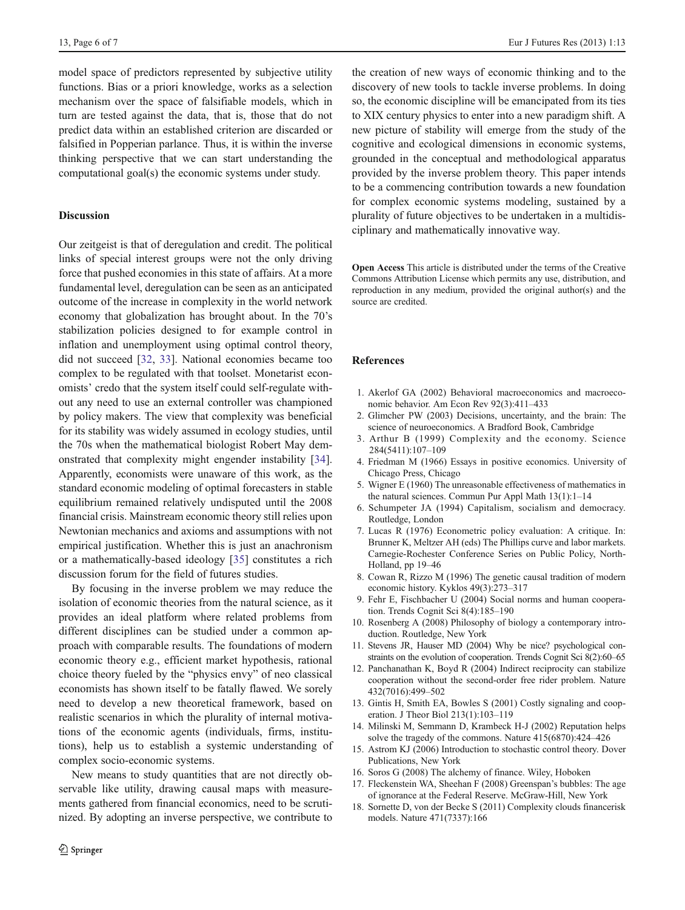<span id="page-5-0"></span>model space of predictors represented by subjective utility functions. Bias or a priori knowledge, works as a selection mechanism over the space of falsifiable models, which in turn are tested against the data, that is, those that do not predict data within an established criterion are discarded or falsified in Popperian parlance. Thus, it is within the inverse thinking perspective that we can start understanding the computational goal(s) the economic systems under study.

## **Discussion**

Our zeitgeist is that of deregulation and credit. The political links of special interest groups were not the only driving force that pushed economies in this state of affairs. At a more fundamental level, deregulation can be seen as an anticipated outcome of the increase in complexity in the world network economy that globalization has brought about. In the 70's stabilization policies designed to for example control in inflation and unemployment using optimal control theory, did not succeed [[32](#page-6-0), [33\]](#page-6-0). National economies became too complex to be regulated with that toolset. Monetarist economists' credo that the system itself could self-regulate without any need to use an external controller was championed by policy makers. The view that complexity was beneficial for its stability was widely assumed in ecology studies, until the 70s when the mathematical biologist Robert May demonstrated that complexity might engender instability [\[34](#page-6-0)]. Apparently, economists were unaware of this work, as the standard economic modeling of optimal forecasters in stable equilibrium remained relatively undisputed until the 2008 financial crisis. Mainstream economic theory still relies upon Newtonian mechanics and axioms and assumptions with not empirical justification. Whether this is just an anachronism or a mathematically-based ideology [[35\]](#page-6-0) constitutes a rich discussion forum for the field of futures studies.

By focusing in the inverse problem we may reduce the isolation of economic theories from the natural science, as it provides an ideal platform where related problems from different disciplines can be studied under a common approach with comparable results. The foundations of modern economic theory e.g., efficient market hypothesis, rational choice theory fueled by the "physics envy" of neo classical economists has shown itself to be fatally flawed. We sorely need to develop a new theoretical framework, based on realistic scenarios in which the plurality of internal motivations of the economic agents (individuals, firms, institutions), help us to establish a systemic understanding of complex socio-economic systems.

New means to study quantities that are not directly observable like utility, drawing causal maps with measurements gathered from financial economics, need to be scrutinized. By adopting an inverse perspective, we contribute to

the creation of new ways of economic thinking and to the discovery of new tools to tackle inverse problems. In doing so, the economic discipline will be emancipated from its ties to XIX century physics to enter into a new paradigm shift. A new picture of stability will emerge from the study of the cognitive and ecological dimensions in economic systems, grounded in the conceptual and methodological apparatus provided by the inverse problem theory. This paper intends to be a commencing contribution towards a new foundation for complex economic systems modeling, sustained by a plurality of future objectives to be undertaken in a multidisciplinary and mathematically innovative way.

Open Access This article is distributed under the terms of the Creative Commons Attribution License which permits any use, distribution, and reproduction in any medium, provided the original author(s) and the source are credited.

#### References

- 1. Akerlof GA (2002) Behavioral macroeconomics and macroeconomic behavior. Am Econ Rev 92(3):411–433
- 2. Glimcher PW (2003) Decisions, uncertainty, and the brain: The science of neuroeconomics. A Bradford Book, Cambridge
- 3. Arthur B (1999) Complexity and the economy. Science 284(5411):107–109
- 4. Friedman M (1966) Essays in positive economics. University of Chicago Press, Chicago
- 5. Wigner E (1960) The unreasonable effectiveness of mathematics in the natural sciences. Commun Pur Appl Math 13(1):1–14
- 6. Schumpeter JA (1994) Capitalism, socialism and democracy. Routledge, London
- 7. Lucas R (1976) Econometric policy evaluation: A critique. In: Brunner K, Meltzer AH (eds) The Phillips curve and labor markets. Carnegie-Rochester Conference Series on Public Policy, North-Holland, pp 19–46
- 8. Cowan R, Rizzo M (1996) The genetic causal tradition of modern economic history. Kyklos 49(3):273–317
- 9. Fehr E, Fischbacher U (2004) Social norms and human cooperation. Trends Cognit Sci 8(4):185–190
- 10. Rosenberg A (2008) Philosophy of biology a contemporary introduction. Routledge, New York
- 11. Stevens JR, Hauser MD (2004) Why be nice? psychological constraints on the evolution of cooperation. Trends Cognit Sci 8(2):60–65
- 12. Panchanathan K, Boyd R (2004) Indirect reciprocity can stabilize cooperation without the second-order free rider problem. Nature 432(7016):499–502
- 13. Gintis H, Smith EA, Bowles S (2001) Costly signaling and cooperation. J Theor Biol 213(1):103–119
- 14. Milinski M, Semmann D, Krambeck H-J (2002) Reputation helps solve the tragedy of the commons. Nature 415(6870):424–426
- 15. Astrom KJ (2006) Introduction to stochastic control theory. Dover Publications, New York
- 16. Soros G (2008) The alchemy of finance. Wiley, Hoboken
- 17. Fleckenstein WA, Sheehan F (2008) Greenspan's bubbles: The age of ignorance at the Federal Reserve. McGraw-Hill, New York
- 18. Sornette D, von der Becke S (2011) Complexity clouds financerisk models. Nature 471(7337):166